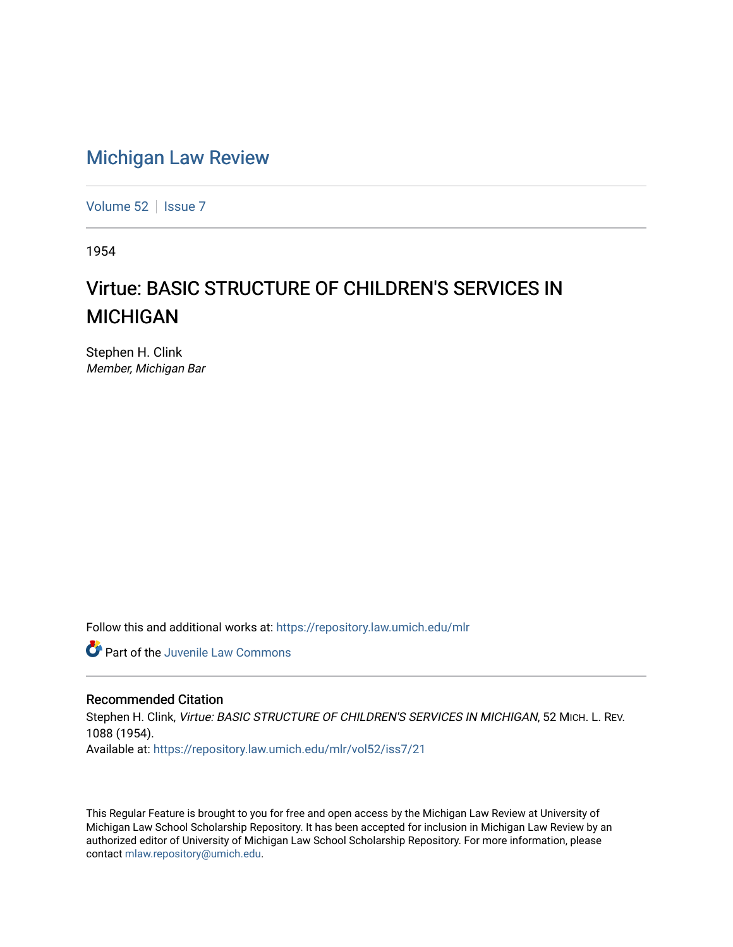## [Michigan Law Review](https://repository.law.umich.edu/mlr)

[Volume 52](https://repository.law.umich.edu/mlr/vol52) | [Issue 7](https://repository.law.umich.edu/mlr/vol52/iss7)

1954

# Virtue: BASIC STRUCTURE OF CHILDREN'S SERVICES IN MICHIGAN

Stephen H. Clink Member, Michigan Bar

Follow this and additional works at: [https://repository.law.umich.edu/mlr](https://repository.law.umich.edu/mlr?utm_source=repository.law.umich.edu%2Fmlr%2Fvol52%2Fiss7%2F21&utm_medium=PDF&utm_campaign=PDFCoverPages) 

**C** Part of the [Juvenile Law Commons](http://network.bepress.com/hgg/discipline/851?utm_source=repository.law.umich.edu%2Fmlr%2Fvol52%2Fiss7%2F21&utm_medium=PDF&utm_campaign=PDFCoverPages)

#### Recommended Citation

Stephen H. Clink, Virtue: BASIC STRUCTURE OF CHILDREN'S SERVICES IN MICHIGAN, 52 MICH. L. REV. 1088 (1954). Available at: [https://repository.law.umich.edu/mlr/vol52/iss7/21](https://repository.law.umich.edu/mlr/vol52/iss7/21?utm_source=repository.law.umich.edu%2Fmlr%2Fvol52%2Fiss7%2F21&utm_medium=PDF&utm_campaign=PDFCoverPages) 

This Regular Feature is brought to you for free and open access by the Michigan Law Review at University of Michigan Law School Scholarship Repository. It has been accepted for inclusion in Michigan Law Review by an authorized editor of University of Michigan Law School Scholarship Repository. For more information, please contact [mlaw.repository@umich.edu](mailto:mlaw.repository@umich.edu).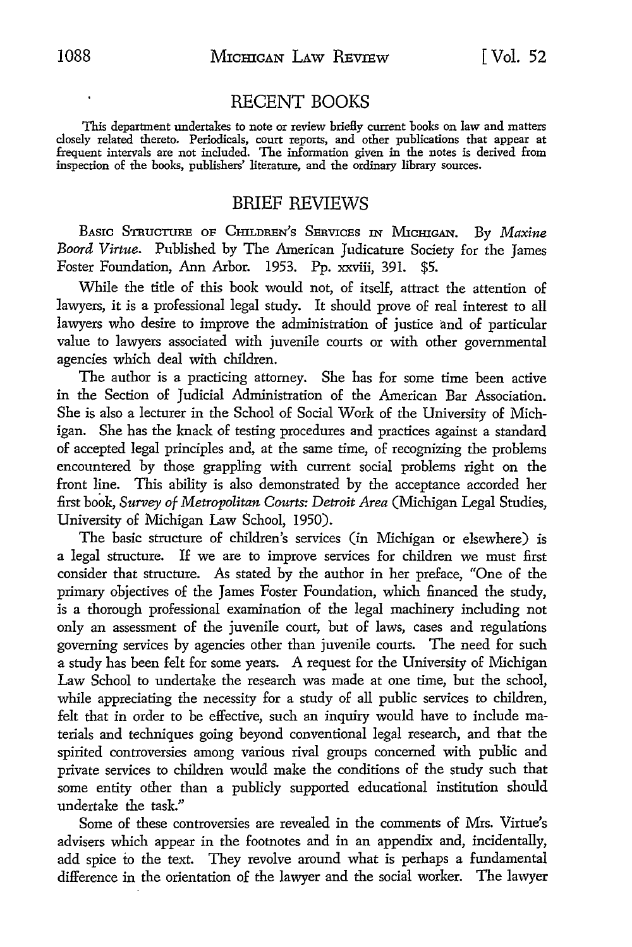#### RECENT BOOKS

This department undertakes to note or review brieHy current books on law and matters closely related thereto. Periodicals, court reports, and other publications that appear at frequent intervals are not included. The information given in the notes is derived from inspection of the books, publishers' literature, and the ordinary library sources.

### BRIEF REVIEWS

BASIC STRUCTURE OF CHILDREN'S SERVICES IN MICHIGAN. By *Maxine Boord Virtue.* Published by The American Judicature Society for the James Foster Foundation, Ann Arbor. 1953. Pp. xxviii, 391. \$5.

While the title of this book would not, of itself, attract the attention of lawyers, it is a professional legal study. It should prove of real interest to all lawyers who desire to improve the administration of justice and of particular value to lawyers associated with juvenile courts or with other governmental agencies which deal with children.

The author is a practicing attorney. She has for some time been active in the Section of Judicial Administration of the American Bar Association. She is also a lecturer in the School of Social Work of the University of Michigan. She has the knack of testing procedures and practices against a standard of accepted legal principles and, at the same time, of recognizing the problems encountered by those grappling with current social problems right on the front line. This ability is also demonstrated by the acceptance accorded her first book, *Survey of Metropolitan Courts: Detroit Area* (Michigan Legal Studies, University of Michigan Law School, 1950).

The basic structure of children's services (in Michigan or elsewhere) is a legal structure. If we are to improve services for children we must first consider that structure. As stated by the author in her preface, "One of the primary objectives of the James Foster Foundation, which financed the study, is a thorough professional examination of the legal machinery including not only an assessment of the juvenile court, but of laws, cases and regulations governing services by agencies other than juvenile courts. The need for such a study has been felt for some years. A request for the University of Michigan Law School to undertake the research was made at one time, but the school, while appreciating the necessity for a study of all public services to children, felt that in order to be effective, such an inquiry would have to include materials and techniques going beyond conventional legal research, and that the spirited controversies among various rival groups concerned with public and private services to children would make the conditions of the study such that some entity other than a publicly supported educational institution should undertake the task."

Some of these controversies are revealed in the comments of Mrs. Virtue's advisers which appear in the footnotes and in an appendix and, incidentally, add spice to the text. They revolve around what is perhaps a fundamental difference in the orientation of the lawyer and the social worker. The lawyer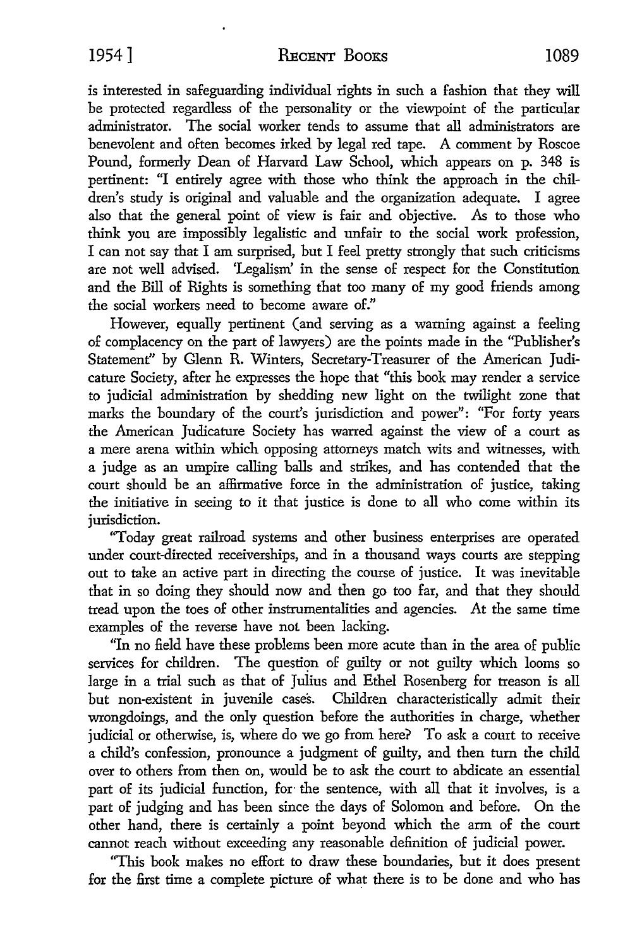is interested in safeguarding individual rights in such a fashion that they will be protected regardless of the personality or the viewpoint of the particular administrator. The social worker tends to assume that all administrators are benevolent and often becomes irked by legal red tape. A comment by Roscoe Pound, formerly Dean of Harvard Law School, which appears on p. 348 is pertinent: "I entirely agree with those who think the approach in the children's study is original and valuable and the organization adequate. I agree also that the general point of view is fair and objective. As to those who think you are impossibly legalistic and unfair to the social work profession, I can not say that I am surprised, but I feel pretty strongly that such criticisms are not well advised. 'Legalism' in the sense of respect for the Constitution and the Bill of Rights is something that too many of my good friends among the social workers need to become aware of."

However, equally pertinent (and serving as a warning against a feeling of complacency on the part of lawyers) are the points made in the ''Publisher's Statement" by Glenn R. Winters, Secretary-Treasurer of the American Judicature Society, after he expresses the hope that "this book may render a service to judicial administration by shedding new light on the twilight zone that marks the boundary of the court's jurisdiction and power": "For forty years the American Judicature Society has warred against the view of a court as a mere arena within which opposing attorneys match wits and witnesses, with a judge as an umpire calling balls and strikes, and has contended that the court should be an affirmative force in the administration of justice, taking the initiative in seeing to it that justice is done to all who come within its jurisdiction.

"Today great railroad systems and other business enterprises are operated under court-directed receiverships, and in a thousand ways courts are stepping out to take an active part in directing the course of justice. It was inevitable that in so doing they should now and then go too far, and that they should tread upon the toes of other instrumentalities and agencies. At the same time examples of the reverse have not been lacking.

"In no field have these problems been more acute than in the area of public services for children. The question of guilty or not guilty which looms so large in a trial such as that of Julius and Ethel Rosenberg for treason is all but non-existent in juvenile cases. Children characteristically admit their wrongdoings, and the only question before the authorities in charge, whether judicial or otherwise, is, where do we go from here? To ask a court to receive a child's confession, pronounce a judgment of guilty, and then tum the child over to others from then on, would be to ask the court to abdicate an essential part of its judicial function, for· the sentence, with all that it involves, is a part of judging and has been since the days of Solomon and before. On the other hand, there is certainly a point beyond which the arm of the court cannot reach without exceeding any reasonable definition of judicial power.

"This book makes no effort to draw these boundaries, but it does present for the first time a complete picture of what there is to be done and who has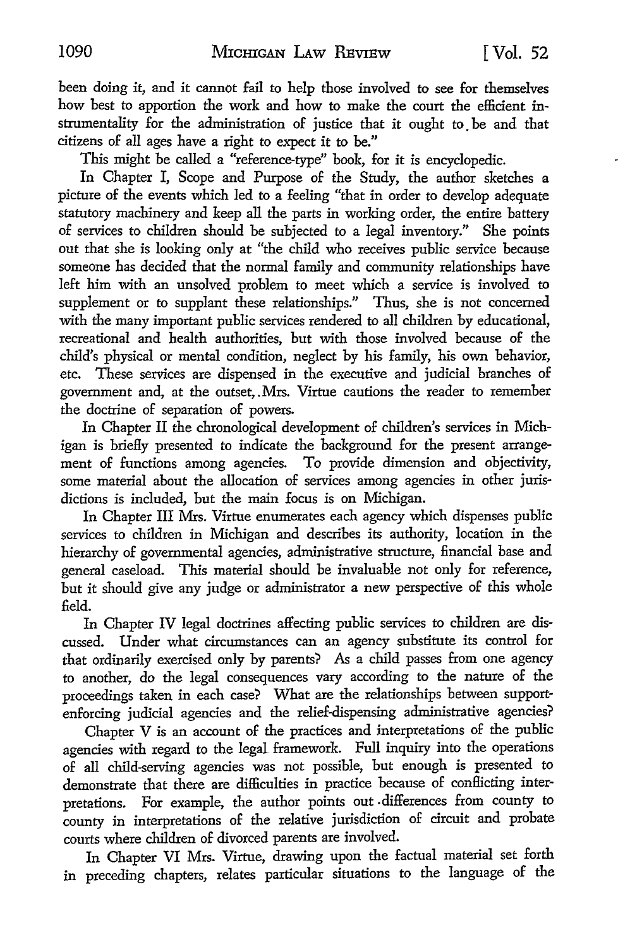been doing it, and it cannot fail to help those involved to see for themselves how best to apportion the work and how to make the court the efficient instrumentality for the administration of justice that it ought to be and that citizens of all ages have a right to expect it to be."

This might be called a "reference-type" book, for it is encyclopedic.

In Chapter I, Scope and Purpose of the Study, the author sketches a picture of the events which led to a feeling "that in order to develop adequate statutory machinery and keep all the parts in working order, the entire battery of services to children should be subjected to a legal inventory." She points out that she is looking only at "the child who receives public service because someone has decided that the normal family and community relationships have left him with an unsolved problem to meet which a service is involved to supplement or to supplant these relationships." Thus, she is not concerned with the many important public services rendered to all children by educational, recreational and health authorities, but with those involved because of the child's physical or mental condition, neglect by his family, his own behavior, etc. These services are dispensed in the executive and judicial branches of government and, at the outset, .Mrs. Virtue cautions the reader to remember the doctrine of separation of powers.

In Chapter II the chronological development of children's services in Michigan is briefly presented to indicate the background for the present arrangement of functions among agencies. To provide dimension and objectivity, some material about the allocation of services among agencies in other jurisdictions is included, but the main focus is on Michigan.

In Chapter III Mrs. Virtue enumerates each agency which dispenses public services to children in Michigan and describes its authority, location in the hierarchy of governmental agencies, administrative structure, financial base and general caseload. This material should be invaluable not only for reference, but it should give any judge or administrator a new perspective of this whole field.

In Chapter IV legal doctrines affecting public services to children are discussed. Under what circumstances can an agency substitute its control for that ordinarily exercised only by parents? As a child passes from one agency to another, do the legal consequences vary according to the nature of the proceedings taken in each case? What are the relationships between supportenforcing judicial agencies and the relief-dispensing administrative agencies?

Chapter V is an account of the practices and interpretations of the public agencies with regard to the legal framework. Full inquiry into the operations of all child-serving agencies was not possible, but enough is presented to demonstrate that there are difficulties in practice because of confficting interpretations. For example, the author points *out* ,differences from county to county in interpretations of the relative jurisdiction of circuit and probate courts where children of divorced parents are involved.

In Chapter VI Mrs. Virtue, drawing upon the factual material set forth in preceding chapters, relates particular situations to the language of the